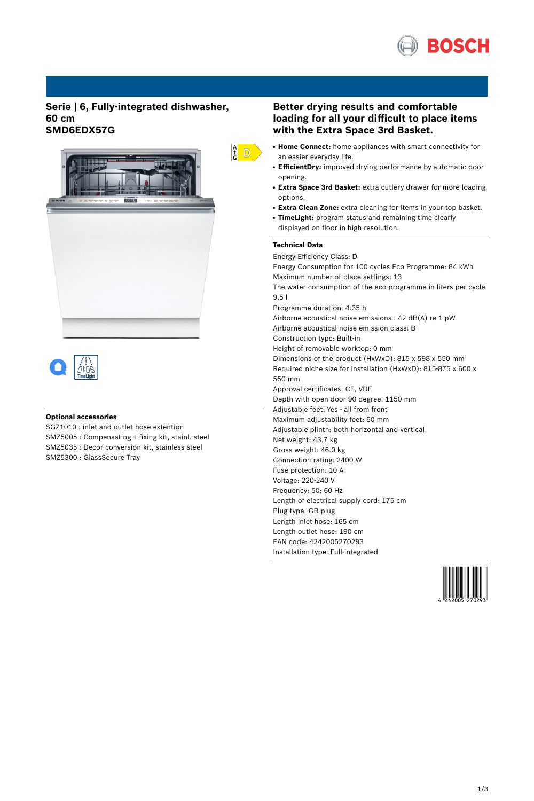

## **Serie | 6, Fully-integrated dishwasher, 60 cm SMD6EDX57G**





## **Optional accessories**

SGZ1010 : inlet and outlet hose extention SMZ5005 : Compensating + fixing kit, stainl. steel SMZ5035 : Decor conversion kit, stainless steel SMZ5300 : GlassSecure Tray

## **Better drying results and comfortable loading for all your difficult to place items with the Extra Space 3rd Basket.**

- **Home Connect:** home appliances with smart connectivity for an easier everyday life.
- EfficientDry: improved drying performance by automatic door opening.
- **Extra Space 3rd Basket:** extra cutlery drawer for more loading options.
- **Extra Clean Zone:** extra cleaning for items in your top basket.
- **TimeLight:** program status and remaining time clearly displayed on floor in high resolution.

#### **Technical Data**

 $\frac{A}{G}$  D

Energy Efficiency Class: D Energy Consumption for 100 cycles Eco Programme: 84 kWh Maximum number of place settings: 13 The water consumption of the eco programme in liters per cycle: 9.5 l Programme duration: 4:35 h Airborne acoustical noise emissions : 42 dB(A) re 1 pW Airborne acoustical noise emission class: B Construction type: Built-in Height of removable worktop: 0 mm Dimensions of the product (HxWxD): 815 x 598 x 550 mm Required niche size for installation (HxWxD): 815-875 x 600 x 550 mm Approval certificates: CE, VDE Depth with open door 90 degree: 1150 mm Adjustable feet: Yes - all from front Maximum adjustability feet: 60 mm Adjustable plinth: both horizontal and vertical Net weight: 43.7 kg Gross weight: 46.0 kg Connection rating: 2400 W Fuse protection: 10 A Voltage: 220-240 V Frequency: 50; 60 Hz Length of electrical supply cord: 175 cm Plug type: GB plug Length inlet hose: 165 cm Length outlet hose: 190 cm EAN code: 4242005270293 Installation type: Full-integrated

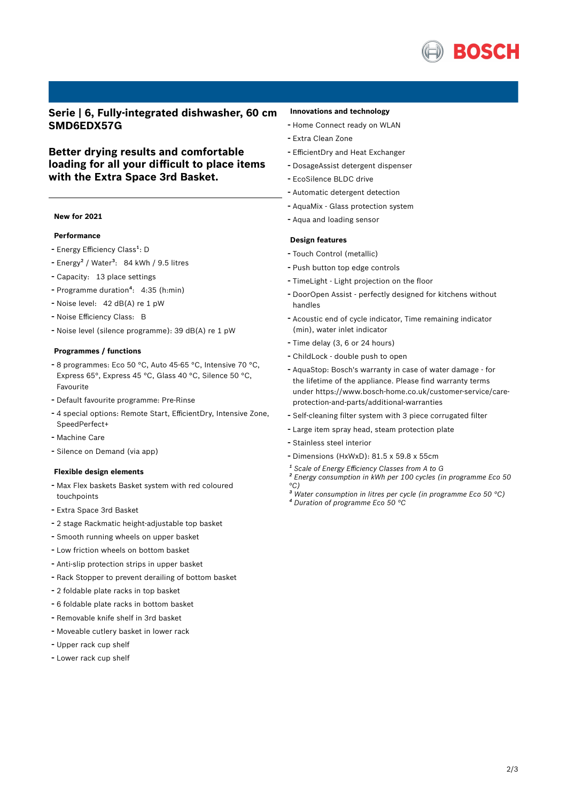

**Serie | 6, Fully-integrated dishwasher, 60 cm SMD6EDX57G**

## **Better drying results and comfortable loading for all your difficult to place items with the Extra Space 3rd Basket.**

### **New for 2021**

## **Performance**

- Energy Efficiency Class<sup>1</sup>: D
- Energy<sup>2</sup> / Water<sup>3</sup>: 84 kWh / 9.5 litres
- Capacity: <sup>13</sup> place settings
- Programme duration<sup>4</sup>: 4:35 (h:min)
- Noise level: <sup>42</sup> dB(A) re <sup>1</sup> pW
- Noise Efficiency Class: <sup>B</sup>
- Noise level (silence programme): <sup>39</sup> dB(A) re <sup>1</sup> pW

#### **Programmes / functions**

- <sup>8</sup> programmes: Eco <sup>50</sup> °C, Auto 45-65 °C, Intensive <sup>70</sup> °C, Express 65°, Express 45 °C, Glass 40 °C, Silence 50 °C, Favourite
- Default favourite programme: Pre-Rinse
- <sup>4</sup> special options: Remote Start, EfficientDry, Intensive Zone, SpeedPerfect+
- Machine Care
- Silence on Demand (via app)

#### **Flexible design elements**

- Max Flex baskets Basket system with red coloured touchpoints
- Extra Space 3rd Basket
- <sup>2</sup> stage Rackmatic height-adjustable top basket
- Smooth running wheels on upper basket
- Low friction wheels on bottom basket
- Anti-slip protection strips in upper basket
- Rack Stopper to prevent derailing of bottom basket
- <sup>2</sup> foldable plate racks in top basket
- <sup>6</sup> foldable plate racks in bottom basket
- Removable knife shelf in 3rd basket
- Moveable cutlery basket in lower rack
- Upper rack cup shelf
- Lower rack cup shelf

### **Innovations and technology**

- Home Connect ready on WLAN
- Extra Clean Zone
- EfficientDry and Heat Exchanger
- DosageAssist detergent dispenser
- EcoSilence BLDC drive
- Automatic detergent detection
- AquaMix Glass protection system
- Aqua and loading sensor

#### **Design features**

- Touch Control (metallic)
- Push button top edge controls
- TimeLight Light projection on the floor
- DoorOpen Assist perfectly designed for kitchens without handles
- Acoustic end of cycle indicator, Time remaining indicator (min), water inlet indicator
- Time delay (3, <sup>6</sup> or <sup>24</sup> hours)
- ChildLock double push to open
- AquaStop: Bosch's warranty in case of water damage for the lifetime of the appliance. Please find warranty terms under https://www.bosch-home.co.uk/customer-service/careprotection-and-parts/additional-warranties
- Self-cleaning filter system with <sup>3</sup> piece corrugated filter
- Large item spray head, steam protection plate
- Stainless steel interior
- Dimensions (HxWxD): 81.5 x 59.8 x 55cm
- *¹ Scale of Energy Efficiency Classes from A to G*
- *² Energy consumption in kWh per 100 cycles (in programme Eco 50 °C)*
- *³ Water consumption in litres per cycle (in programme Eco 50 °C)*
- *⁴ Duration of programme Eco 50 °C*